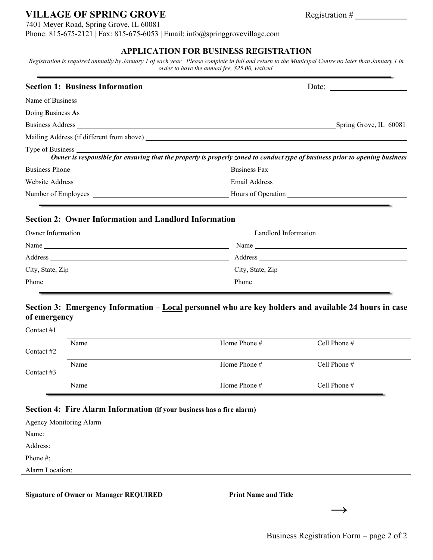# **VILLAGE OF SPRING GROVE** Registration #

7401 Meyer Road, Spring Grove, IL 60081

Phone: 815-675-2121 | Fax: 815-675-6053 | Email: info@springgrovevillage.com

#### **APPLICATION FOR BUSINESS REGISTRATION**

*Registration is required annually by January 1 of each year. Please complete in full and return to the Municipal Centre no later than January 1 in order to have the annual fee, \$25.00, waived.*

| <b>Section 1: Business Information</b>                                                                                                                                                                                         | Date: $\frac{1}{\sqrt{1-\frac{1}{2}} \cdot \frac{1}{2}}$                                                                    |
|--------------------------------------------------------------------------------------------------------------------------------------------------------------------------------------------------------------------------------|-----------------------------------------------------------------------------------------------------------------------------|
|                                                                                                                                                                                                                                |                                                                                                                             |
| Doing Business As 2000 and 2000 and 2000 and 2000 and 2000 and 2000 and 2000 and 2000 and 2000 and 2000 and 2000 and 2000 and 2000 and 2000 and 2000 and 2000 and 2000 and 2000 and 2000 and 2000 and 2000 and 2000 and 2000 a |                                                                                                                             |
| Business Address Land and the Contract of the Contract of the Contract of the Contract of the Contract of the Contract of the Contract of the Contract of the Contract of the Contract of the Contract of the Contract of the  | Spring Grove, IL 60081                                                                                                      |
|                                                                                                                                                                                                                                |                                                                                                                             |
|                                                                                                                                                                                                                                | Owner is responsible for ensuring that the property is properly zoned to conduct type of business prior to opening business |
|                                                                                                                                                                                                                                |                                                                                                                             |
|                                                                                                                                                                                                                                |                                                                                                                             |
|                                                                                                                                                                                                                                |                                                                                                                             |

## **Section 2: Owner Information and Landlord Information**

| Owner Information                                                                                                                                                                                                                                                                                                                                                                                             | Landlord Information                                                                                                                                                                                                                                                                                                                                                                                          |
|---------------------------------------------------------------------------------------------------------------------------------------------------------------------------------------------------------------------------------------------------------------------------------------------------------------------------------------------------------------------------------------------------------------|---------------------------------------------------------------------------------------------------------------------------------------------------------------------------------------------------------------------------------------------------------------------------------------------------------------------------------------------------------------------------------------------------------------|
| Name $\frac{1}{\sqrt{1-\frac{1}{2}}\left(\frac{1}{\sqrt{1-\frac{1}{2}}}\right)^{2}}$                                                                                                                                                                                                                                                                                                                          | Name $\frac{1}{\sqrt{1-\frac{1}{2}}\sqrt{1-\frac{1}{2}}\sqrt{1-\frac{1}{2}}\sqrt{1-\frac{1}{2}}\sqrt{1-\frac{1}{2}}\sqrt{1-\frac{1}{2}}\sqrt{1-\frac{1}{2}}\sqrt{1-\frac{1}{2}}\sqrt{1-\frac{1}{2}}\sqrt{1-\frac{1}{2}}\sqrt{1-\frac{1}{2}}\sqrt{1-\frac{1}{2}}\sqrt{1-\frac{1}{2}}\sqrt{1-\frac{1}{2}}\sqrt{1-\frac{1}{2}}\sqrt{1-\frac{1}{2}}\sqrt{1-\frac{1}{2}}\sqrt{1-\frac{1}{2}}\sqrt{1-\frac{1}{2}}\$ |
| Address<br><u> 1989 - Johann Harry Barn, mars and de Branch and de Branch and de Branch and de Branch and de Branch and de B</u>                                                                                                                                                                                                                                                                              |                                                                                                                                                                                                                                                                                                                                                                                                               |
|                                                                                                                                                                                                                                                                                                                                                                                                               |                                                                                                                                                                                                                                                                                                                                                                                                               |
| Phone $\frac{1}{\sqrt{1-\frac{1}{2}}\sqrt{1-\frac{1}{2}}\sqrt{1-\frac{1}{2}}\sqrt{1-\frac{1}{2}}\sqrt{1-\frac{1}{2}}\sqrt{1-\frac{1}{2}}\sqrt{1-\frac{1}{2}}\sqrt{1-\frac{1}{2}}\sqrt{1-\frac{1}{2}}\sqrt{1-\frac{1}{2}}\sqrt{1-\frac{1}{2}}\sqrt{1-\frac{1}{2}}\sqrt{1-\frac{1}{2}}\sqrt{1-\frac{1}{2}}\sqrt{1-\frac{1}{2}}\sqrt{1-\frac{1}{2}}\sqrt{1-\frac{1}{2}}\sqrt{1-\frac{1}{2}}\sqrt{1-\frac{1}{2}}$ |                                                                                                                                                                                                                                                                                                                                                                                                               |

## **Section 3: Emergency Information – Local personnel who are key holders and available 24 hours in case of emergency**

| Name | Home Phone # | Cell Phone $#$ |
|------|--------------|----------------|
|      |              |                |
| Name | Home Phone # | Cell Phone $#$ |
|      |              |                |
| Name | Home Phone # | Cell Phone $#$ |
|      |              |                |

## **Section 4: Fire Alarm Information (if your business has a fire alarm)**

| <b>Agency Monitoring Alarm</b>                |                             |
|-----------------------------------------------|-----------------------------|
| Name:                                         |                             |
| Address:                                      |                             |
| Phone #:                                      |                             |
| Alarm Location:                               |                             |
|                                               |                             |
| <b>Signature of Owner or Manager REQUIRED</b> | <b>Print Name and Title</b> |
|                                               |                             |
|                                               |                             |